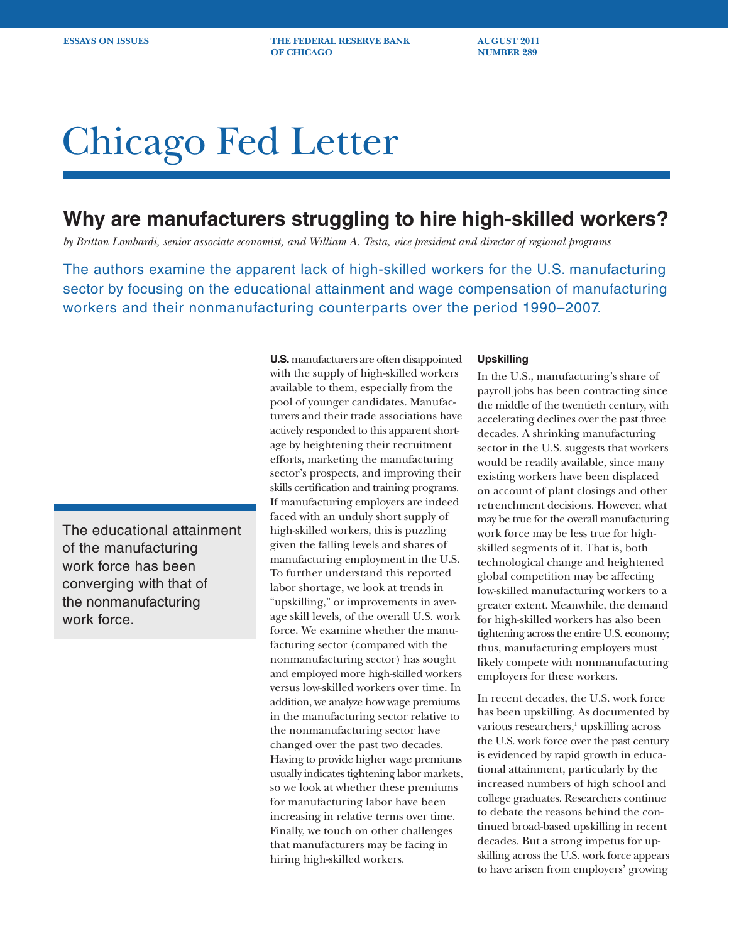**ESSAYS ON ISSUES THE FEDERAL RESERVE BANK AUGUST 2011 OF CHICAGO NUMBER 289** 

# Chicago Fed Letter

## **Why are manufacturers struggling to hire high-skilled workers?**

*by Britton Lombardi, senior associate economist, and William A. Testa, vice president and director of regional programs*

The authors examine the apparent lack of high-skilled workers for the U.S. manufacturing sector by focusing on the educational attainment and wage compensation of manufacturing workers and their nonmanufacturing counterparts over the period 1990–2007.

The educational attainment of the manufacturing work force has been converging with that of the nonmanufacturing work force.

**U.S.** manufacturers are often disappointed with the supply of high-skilled workers available to them, especially from the pool of younger candidates. Manufacturers and their trade associations have actively responded to this apparent shortage by heightening their recruitment efforts, marketing the manufacturing sector's prospects, and improving their skills certification and training programs. If manufacturing employers are indeed faced with an unduly short supply of high-skilled workers, this is puzzling given the falling levels and shares of manufacturing employment in the U.S. To further understand this reported labor shortage, we look at trends in "upskilling," or improvements in average skill levels, of the overall U.S. work force. We examine whether the manufacturing sector (compared with the nonmanufacturing sector) has sought and employed more high-skilled workers versus low-skilled workers over time. In addition, we analyze how wage premiums in the manufacturing sector relative to the nonmanufacturing sector have changed over the past two decades. Having to provide higher wage premiums usually indicates tightening labor markets, so we look at whether these premiums for manufacturing labor have been increasing in relative terms over time. Finally, we touch on other challenges that manufacturers may be facing in hiring high-skilled workers.

### **Upskilling**

In the U.S., manufacturing's share of payroll jobs has been contracting since the middle of the twentieth century, with accelerating declines over the past three decades. A shrinking manufacturing sector in the U.S. suggests that workers would be readily available, since many existing workers have been displaced on account of plant closings and other retrenchment decisions. However, what may be true for the overall manufacturing work force may be less true for highskilled segments of it. That is, both technological change and heightened global competition may be affecting low-skilled manufacturing workers to a greater extent. Meanwhile, the demand for high-skilled workers has also been tightening across the entire U.S. economy; thus, manufacturing employers must likely compete with nonmanufacturing employers for these workers.

In recent decades, the U.S. work force has been upskilling. As documented by various researchers,<sup>1</sup> upskilling across the U.S. work force over the past century is evidenced by rapid growth in educational attainment, particularly by the increased numbers of high school and college graduates. Researchers continue to debate the reasons behind the continued broad-based upskilling in recent decades. But a strong impetus for upskilling across the U.S. work force appears to have arisen from employers' growing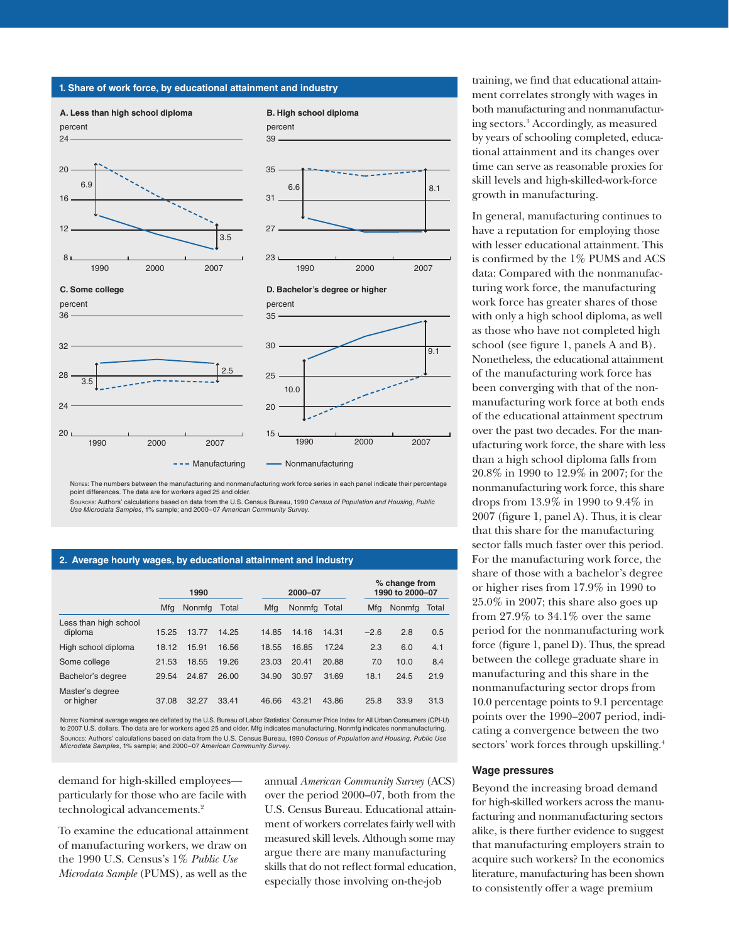

Notes: The numbers between the manufacturing and nonmanufacturing work force series in each panel indicate their percentage point differences. The data are for workers aged 25 and older.

Sources: Authors' calculations based on data from the U.S. Census Bureau, 1990 *Census of Population and Housing, Public Use Microdata Samples*, 1% sample; and 2000–07 *American Community Survey*.

#### **2. Average hourly wages, by educational attainment and industry**

|                                  | 1990  |        |       | 2000-07 |              |       |  | % change from<br>1990 to 2000-07 |        |       |
|----------------------------------|-------|--------|-------|---------|--------------|-------|--|----------------------------------|--------|-------|
|                                  | Mfg   | Nonmfg | Total | Mfg     | Nonmfg Total |       |  | Mfg                              | Nonmfg | Total |
| Less than high school<br>diploma | 15.25 | 13.77  | 14.25 | 14.85   | 14.16        | 14.31 |  | $-2.6$                           | 2.8    | 0.5   |
| High school diploma              | 18.12 | 15.91  | 16.56 | 18.55   | 16.85        | 17.24 |  | 2.3                              | 6.0    | 4.1   |
| Some college                     | 21.53 | 18.55  | 19.26 | 23.03   | 20.41        | 20.88 |  | 7.0                              | 10.0   | 8.4   |
| Bachelor's degree                | 29.54 | 24.87  | 26.00 | 34.90   | 30.97        | 31.69 |  | 18.1                             | 24.5   | 21.9  |
| Master's degree<br>or higher     | 37.08 | 32.27  | 33.41 | 46.66   | 43.21        | 43.86 |  | 25.8                             | 33.9   | 31.3  |

Notes: Nominal average wages are deflated by the U.S. Bureau of Labor Statistics' Consumer Price Index for All Urban Consumers (CPI-U) to 2007 U.S. dollars. The data are for workers aged 25 and older. Mfg indicates manufacturing. Nonmfg indicates nonmanufacturing. Sources: Authors' calculations based on data from the U.S. Census Bureau, 1990 *Census of Population and Housing, Public Use Microdata Samples*, 1% sample; and 2000–07 *American Community Survey*.

demand for high-skilled employees particularly for those who are facile with technological advancements.<sup>2</sup>

To examine the educational attainment of manufacturing workers, we draw on the 1990 U.S. Census's 1% *Public Use Microdata Sample* (PUMS), as well as the

annual *American Community Survey* (ACS) over the period 2000–07, both from the U.S. Census Bureau. Educational attainment of workers correlates fairly well with measured skill levels. Although some may argue there are many manufacturing skills that do not reflect formal education, especially those involving on-the-job

training, we find that educational attainment correlates strongly with wages in both manufacturing and nonmanufacturing sectors.3 Accordingly, as measured by years of schooling completed, educational attainment and its changes over time can serve as reasonable proxies for skill levels and high-skilled-work-force growth in manufacturing.

In general, manufacturing continues to have a reputation for employing those with lesser educational attainment. This is confirmed by the 1% PUMS and ACS data: Compared with the nonmanufacturing work force, the manufacturing work force has greater shares of those with only a high school diploma, as well as those who have not completed high school (see figure 1, panels A and B). Nonetheless, the educational attainment of the manufacturing work force has been converging with that of the nonmanufacturing work force at both ends of the educational attainment spectrum over the past two decades. For the manufacturing work force, the share with less than a high school diploma falls from 20.8% in 1990 to 12.9% in 2007; for the nonmanufacturing work force, this share drops from 13.9% in 1990 to 9.4% in 2007 (figure 1, panel A). Thus, it is clear that this share for the manufacturing sector falls much faster over this period. For the manufacturing work force, the share of those with a bachelor's degree or higher rises from 17.9% in 1990 to 25.0% in 2007; this share also goes up from 27.9% to 34.1% over the same period for the nonmanufacturing work force (figure 1, panel D). Thus, the spread between the college graduate share in manufacturing and this share in the nonmanufacturing sector drops from 10.0 percentage points to 9.1 percentage points over the 1990–2007 period, indicating a convergence between the two sectors' work forces through upskilling.<sup>4</sup>

#### **Wage pressures**

Beyond the increasing broad demand for high-skilled workers across the manufacturing and nonmanufacturing sectors alike, is there further evidence to suggest that manufacturing employers strain to acquire such workers? In the economics literature, manufacturing has been shown to consistently offer a wage premium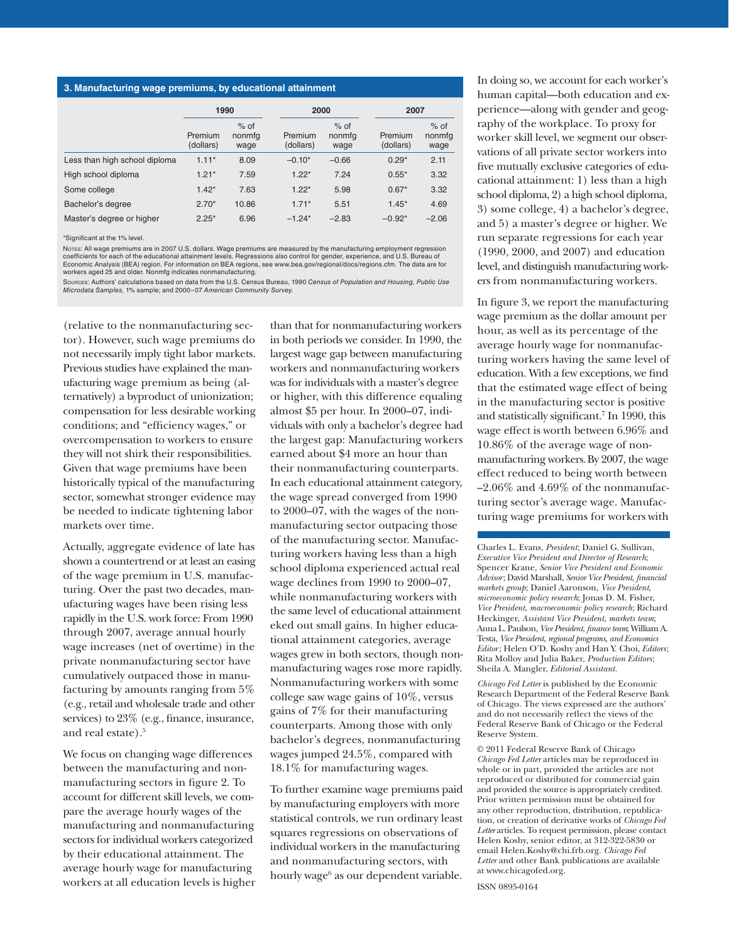#### **3. Manufacturing wage premiums, by educational attainment**

|                               | 1990                 |                          | 2000                 |                          | 2007                 |                          |  |
|-------------------------------|----------------------|--------------------------|----------------------|--------------------------|----------------------|--------------------------|--|
|                               | Premium<br>(dollars) | $%$ of<br>nonmfg<br>wage | Premium<br>(dollars) | $%$ of<br>nonmfg<br>wage | Premium<br>(dollars) | $%$ of<br>nonmfg<br>wage |  |
| Less than high school diploma | $1.11*$              | 8.09                     | $-0.10*$             | $-0.66$                  | $0.29*$              | 2.11                     |  |
| High school diploma           | $1.21*$              | 7.59                     | $1.22*$              | 7.24                     | $0.55*$              | 3.32                     |  |
| Some college                  | $1.42*$              | 7.63                     | $1.22*$              | 5.98                     | $0.67*$              | 3.32                     |  |
| Bachelor's degree             | $2.70*$              | 10.86                    | $1.71*$              | 5.51                     | $1.45*$              | 4.69                     |  |
| Master's degree or higher     | $2.25*$              | 6.96                     | $-1.24*$             | $-2.83$                  | $-0.92*$             | $-2.06$                  |  |

\*Significant at the 1% level.

Notes: All wage premiums are in 2007 U.S. dollars. Wage premiums are measured by the manufacturing employment regression coefficients for each of the educational attainment levels. Regressions also control for gender, experience, and U.S. Bureau of Economic Analysis (BEA) region. For information on BEA regions, see www.bea.gov/regional/docs/regions.cfm. The data are for workers aged 25 and older. Nonmfg indicates nonmanufacturing.

Sources: Authors' calculations based on data from the U.S. Census Bureau, 1990 *Census of Population and Housing, Public Use Microdata Samples*, 1% sample; and 2000–07 *American Community Survey*.

(relative to the nonmanufacturing sector). However, such wage premiums do not necessarily imply tight labor markets. Previous studies have explained the manufacturing wage premium as being (alternatively) a byproduct of unionization; compensation for less desirable working conditions; and "efficiency wages," or overcompensation to workers to ensure they will not shirk their responsibilities. Given that wage premiums have been historically typical of the manufacturing sector, somewhat stronger evidence may be needed to indicate tightening labor markets over time.

Actually, aggregate evidence of late has shown a countertrend or at least an easing of the wage premium in U.S. manufacturing. Over the past two decades, manufacturing wages have been rising less rapidly in the U.S. work force: From 1990 through 2007, average annual hourly wage increases (net of overtime) in the private nonmanufacturing sector have cumulatively outpaced those in manufacturing by amounts ranging from 5% (e.g., retail and wholesale trade and other services) to 23% (e.g., finance, insurance, and real estate).<sup>5</sup>

We focus on changing wage differences between the manufacturing and nonmanufacturing sectors in figure 2. To account for different skill levels, we compare the average hourly wages of the manufacturing and nonmanufacturing sectors for individual workers categorized by their educational attainment. The average hourly wage for manufacturing workers at all education levels is higher than that for nonmanufacturing workers in both periods we consider. In 1990, the largest wage gap between manufacturing workers and nonmanufacturing workers was for individuals with a master's degree or higher, with this difference equaling almost \$5 per hour. In 2000–07, individuals with only a bachelor's degree had the largest gap: Manufacturing workers earned about \$4 more an hour than their nonmanufacturing counterparts. In each educational attainment category, the wage spread converged from 1990 to 2000–07, with the wages of the nonmanufacturing sector outpacing those of the manufacturing sector. Manufacturing workers having less than a high school diploma experienced actual real wage declines from 1990 to 2000–07, while nonmanufacturing workers with the same level of educational attainment eked out small gains. In higher educational attainment categories, average wages grew in both sectors, though nonmanufacturing wages rose more rapidly. Nonmanufacturing workers with some college saw wage gains of 10%, versus gains of 7% for their manufacturing counterparts. Among those with only bachelor's degrees, nonmanufacturing wages jumped 24.5%, compared with 18.1% for manufacturing wages.

To further examine wage premiums paid by manufacturing employers with more statistical controls, we run ordinary least squares regressions on observations of individual workers in the manufacturing and nonmanufacturing sectors, with hourly wage<sup>6</sup> as our dependent variable.

In doing so, we account for each worker's human capital—both education and experience—along with gender and geography of the workplace. To proxy for worker skill level, we segment our observations of all private sector workers into five mutually exclusive categories of educational attainment: 1) less than a high school diploma, 2) a high school diploma, 3) some college, 4) a bachelor's degree, and 5) a master's degree or higher. We run separate regressions for each year (1990, 2000, and 2007) and education level, and distinguish manufacturing workers from nonmanufacturing workers.

In figure 3, we report the manufacturing wage premium as the dollar amount per hour, as well as its percentage of the average hourly wage for nonmanufacturing workers having the same level of education. With a few exceptions, we find that the estimated wage effect of being in the manufacturing sector is positive and statistically significant.7 In 1990, this wage effect is worth between 6.96% and 10.86% of the average wage of nonmanufacturing workers.By 2007, the wage effect reduced to being worth between  $-2.06\%$  and  $4.69\%$  of the nonmanufacturing sector's average wage. Manufacturing wage premiums for workers with

Charles L. Evans, *President*; Daniel G. Sullivan, *Executive Vice President and Director of Research*; Spencer Krane, *Senior Vice President and Economic Advisor*; David Marshall, *Senior Vice President*, *financial markets group*; Daniel Aaronson, *Vice President*, *microeconomic policy research*; Jonas D. M. Fisher, *Vice President*, *macroeconomic policy research*; Richard Heckinger, *Assistant Vice President*, *markets team*; Anna L. Paulson, *Vice President*, *finance team*; William A. Testa, *Vice President*, *regional programs*, *and Economics Editor*; Helen O'D. Koshy and Han Y. Choi, *Editors* ; Rita Molloy and Julia Baker, *Production Editors*; Sheila A. Mangler, *Editorial Assistant.* 

*Chicago Fed Letter* is published by the Economic Research Department of the Federal Reserve Bank of Chicago. The views expressed are the authors' and do not necessarily reflect the views of the Federal Reserve Bank of Chicago or the Federal Reserve System.

© 2011 Federal Reserve Bank of Chicago *Chicago Fed Letter* articles may be reproduced in whole or in part, provided the articles are not reproduced or distributed for commercial gain and provided the source is appropriately credited. Prior written permission must be obtained for any other reproduction, distribution, republication, or creation of derivative works of *Chicago Fed Letter* articles. To request permission, please contact Helen Koshy, senior editor, at 312-322-5830 or email Helen.Koshy@chi.frb.org. *Chicago Fed Letter* and other Bank publications are available at www.chicagofed.org.

ISSN 0895-0164